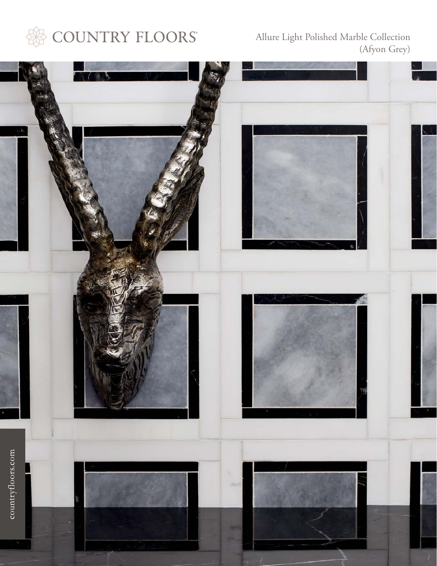

Allure Light Polished Marble Collection (Afyon Grey)

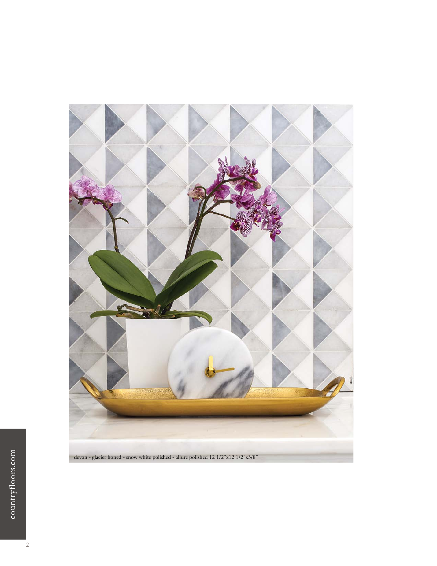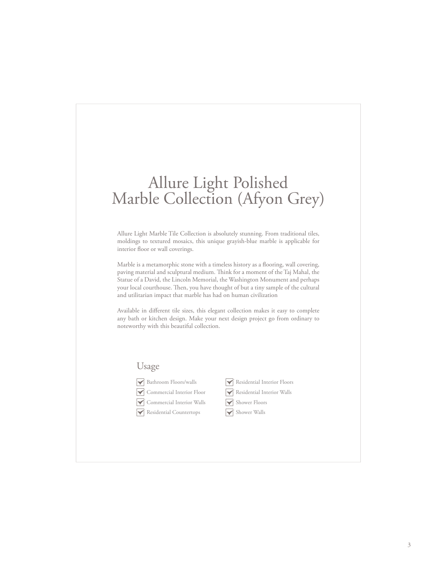# Allure Light Polished Marble Collection (Afyon Grey)

Allure Light Marble Tile Collection is absolutely stunning. From traditional tiles, moldings to textured mosaics, this unique grayish-blue marble is applicable for interior floor or wall coverings.

Marble is a metamorphic stone with a timeless history as a flooring, wall covering, paving material and sculptural medium. Think for a moment of the Taj Mahal, the Statue of a David, the Lincoln Memorial, the Washington Monument and perhaps your local courthouse. Then, you have thought of but a tiny sample of the cultural and utilitarian impact that marble has had on human civilization

Available in different tile sizes, this elegant collection makes it easy to complete any bath or kitchen design. Make your next design project go from ordinary to noteworthy with this beautiful collection.

#### Usage

Bathroom Floors/walls



- 
- Commercial Interior Walls
- Residential Interior Floors
- Residential Interior Walls
- Shower Floors
- Shower Walls
- Residential Countertops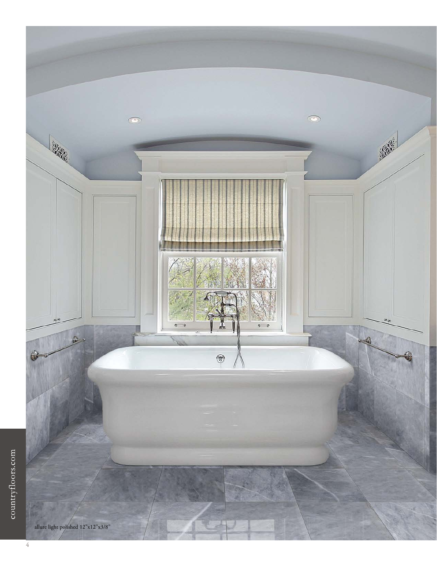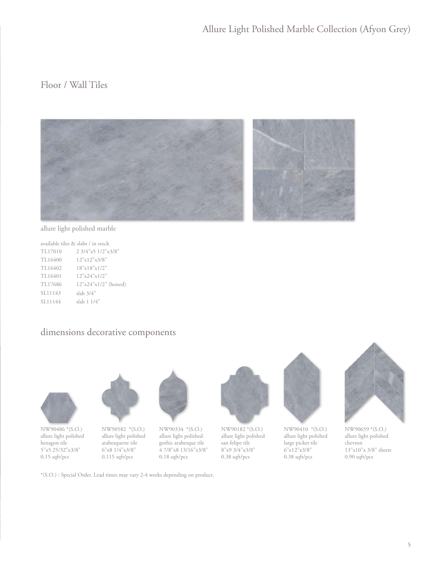# Floor / Wall Tiles



allure light polished marble

|         | available tiles & slabs / in stock  |
|---------|-------------------------------------|
| TL17010 | $2.3/4$ "x5 $1/2$ "x3/8"            |
| TL16400 | 12"x12"x3/8"                        |
| TL16402 | $18" \times 18" \times 1/2"$        |
| TL16401 | $12^{\circ}x24^{\circ}x1/2^{\circ}$ |
| TL17686 | $12"x24"x1/2"$ (honed)              |
| SL11143 | slab 3/4"                           |
| SL11144 | slab 1 1/4"                         |

#### dimensions decorative components



NW90486 \*(S.O.) allure light polished hexagon tile 5"x5 25/32"x3/8" 0.15 sqft/pcs



NW90582 \*(S.O.) allure light polished arabesquette tile 6"x8 1/4"x3/8" 0.115 sqft/pcs



NW90334 \*(S.O.) allure light polished gothic arabesque tile 4 7/8"x8 13/16"x3/8" 0.18 sqft/pcs



allure light polished san felipe tile 8"x9 3/4"x3/8" 0.38 sqft/pcs



NW90410 \*(S.O.) allure light polished large picket tile 6"x12"x3/8" 0.38 sqft/pcs



NW90659 \*(S.O.) allure light polished chevron 13"x10"x 3/8" sheets 0.90 sqft/pcs

\*(S.O.) : Special Order. Lead times may vary 2-4 weeks depending on product.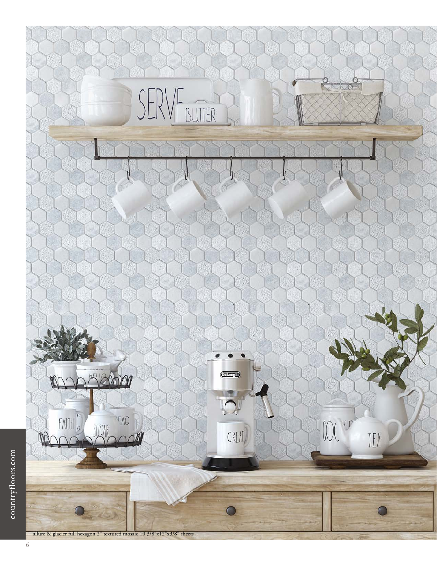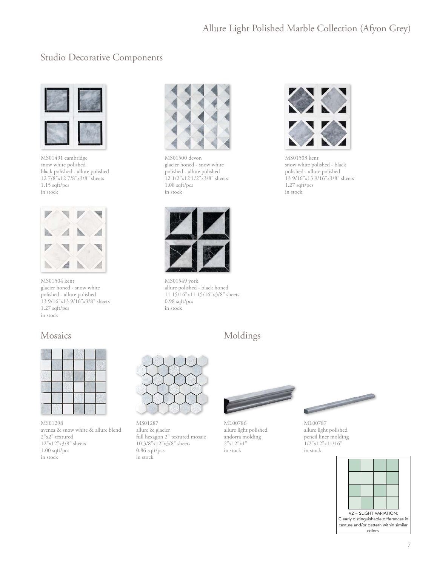#### Studio Decorative Components



MS01491 cambridge snow white polished black polished - allure polished 12 7/8"x12 7/8"x3/8" sheets 1.15 sqft/pcs in stock



MS01504 kent glacier honed - snow white polished - allure polished 13 9/16"x13 9/16"x3/8" sheets 1.27 sqft/pcs in stock

# Mosaics



MS01298 avenza & snow white & allure blend 2"x2" textured 12"x12"x3/8" sheets 1.00 sqft/pcs in stock



MS01500 devon glacier honed - snow white polished - allure polished 12 1/2"x12 1/2"x3/8" sheets 1.08 sqft/pcs in stock



MS01549 york allure polished - black honed 11 15/16"x11 15/16"x3/8" sheets 0.98 sqft/pcs in stock



MS01503 kent snow white polished - black polished - allure polished 13 9/16"x13 9/16"x3/8" sheets 1.27 sqft/pcs in stock

# Moldings



MS01287 allure & glacier full hexagon 2" textured mosaic 10 3/8"x12"x3/8" sheets 0.86 sqft/pcs in stock



ML00786 allure light polished andorra molding 2"x12"x1" in stock



ML00787 allure light polished pencil liner molding 1/2"x12"x11/16" in stock